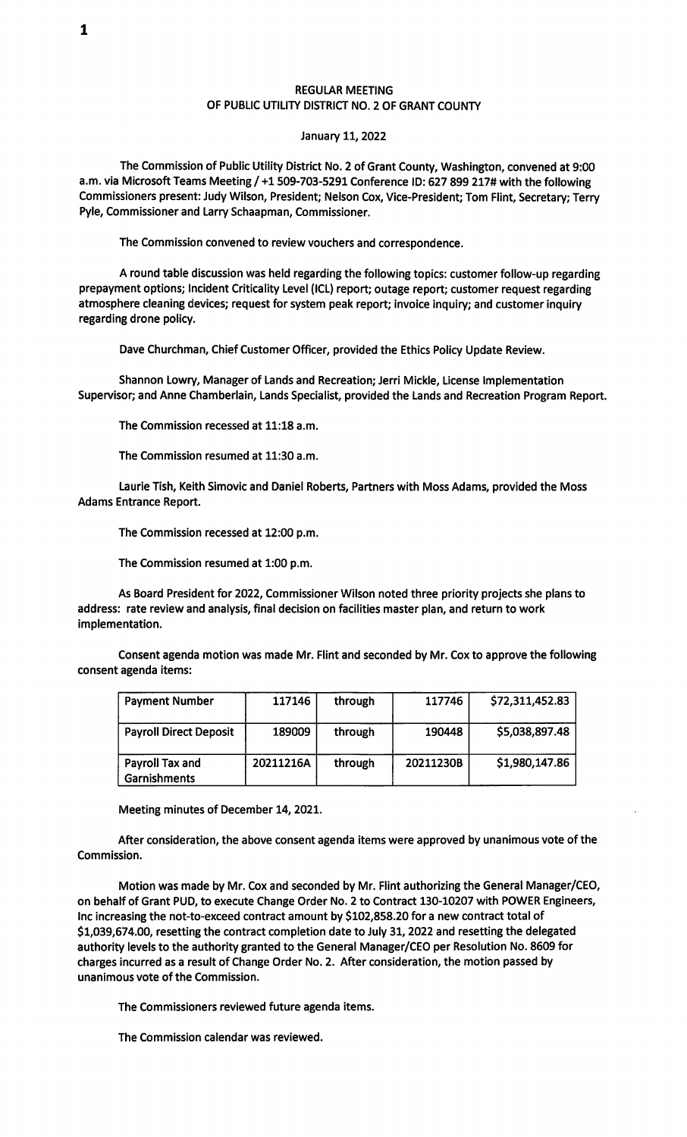## REGULAR MEETING OF PUBLIC UTILITY DISTRICT NO. 2 OF GRANT COUNTY

## January 11, 2022

The Commission of Public Utility District No. 2 of Grant County, Washington, convened at 9:00 a.m. via Microsoft Teams Meeting / +1509-703-5291 Conference ID: 627 899 217# with the following Commissioners present: Judy Wilson, President; Nelson Cox, Vice-President; Tom Flint, Secretary; Terry Pyle, Commissioner and Larry Schaapman, Commissioner.

The Commission convened to review vouchers and correspondence.

A round table discussion was held regarding the following topics: customer follow-up regarding prepayment options; Incident Criticality Level (ICL) report; outage report; customer request regarding atmosphere cleaning devices; request for system peak report; invoice inquiry; and customer inquiry regarding drone policy.

Dave Churchman, Chief Customer Officer, provided the Ethics Policy Update Review.

Shannon Lowry, Manager of Lands and Recreation; Jerri Mickle, License Implementation Supervisor; and Anne Chamberlain, Lands Specialist, provided the Lands and Recreation Program Report.

The Commission recessed at 11:18 a.m.

The Commission resumed at 11:30 a.m.

Laurie Tish, Keith Simovic and Daniel Roberts, Partners with Moss Adams, provided the Moss Adams Entrance Report.

The Commission recessed at 12:00 p.m.

The Commission resumed at 1:00 p.m.

As Board President for 2022, Commissioner Wilson noted three priority projects she plans to address: rate review and analysis, final decision on facilities master plan, and return to work implementation.

Consent agenda motion was made Mr. Flint and seconded by Mr. Cox to approve the following consent agenda items:

| <b>Payment Number</b>           | 117146    | through | 117746    | \$72,311,452.83 |
|---------------------------------|-----------|---------|-----------|-----------------|
| <b>Payroll Direct Deposit</b>   | 189009    | through | 190448    | \$5,038,897.48  |
| Payroll Tax and<br>Garnishments | 20211216A | through | 20211230B | \$1,980,147.86  |

Meeting minutes of December 14, 2021.

After consideration, the above consent agenda items were approved by unanimous vote of the Commission.

Motion was made by Mr. Cox and seconded by Mr. Flint authorizing the General Manager/CEO, on behalf of Grant PUD, to execute Change Order No. 2 to Contract 130-10207 with POWER Engineers, Inc increasing the not-to-exceed contract amount by \$102,858.20 for a new contract total of \$1,039,674.00, resetting the contract completion date to July 31, 2022 and resetting the delegated authority levels to the authority granted to the General Manager/CEO per Resolution No. 8609 for charges incurred as a result of Change Order No. 2. After consideration, the motion passed by unanimous vote of the Commission.

The Commissioners reviewed future agenda items.

The Commission calendar was reviewed.